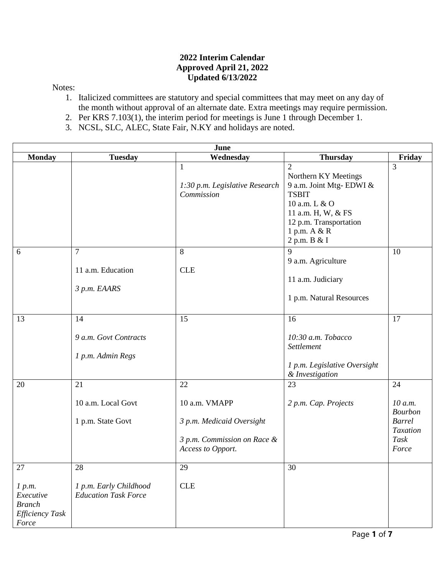## **2022 Interim Calendar Approved April 21, 2022 Updated 6/13/2022**

## Notes:

- 1. Italicized committees are statutory and special committees that may meet on any day of the month without approval of an alternate date. Extra meetings may require permission.
- 2. Per KRS 7.103(1), the interim period for meetings is June 1 through December 1.
- 3. NCSL, SLC, ALEC, State Fair, N.KY and holidays are noted.

| June                                                                   |                                                             |                                                                                                      |                                                                                                                                                                                    |                                                                                      |  |
|------------------------------------------------------------------------|-------------------------------------------------------------|------------------------------------------------------------------------------------------------------|------------------------------------------------------------------------------------------------------------------------------------------------------------------------------------|--------------------------------------------------------------------------------------|--|
| <b>Monday</b>                                                          | <b>Tuesday</b>                                              | Wednesday                                                                                            | <b>Thursday</b>                                                                                                                                                                    | Friday                                                                               |  |
|                                                                        |                                                             | $\mathbf{1}$<br>1:30 p.m. Legislative Research<br>Commission                                         | $\overline{2}$<br>Northern KY Meetings<br>9 a.m. Joint Mtg-EDWI &<br><b>TSBIT</b><br>10 a.m. L & O<br>11 a.m. H, W, & FS<br>12 p.m. Transportation<br>1 p.m. A & R<br>2 p.m. B & I | 3                                                                                    |  |
| 6                                                                      | $\overline{7}$<br>11 a.m. Education                         | 8<br><b>CLE</b>                                                                                      | $\mathbf Q$<br>9 a.m. Agriculture                                                                                                                                                  | 10                                                                                   |  |
|                                                                        | 3 p.m. EAARS                                                |                                                                                                      | 11 a.m. Judiciary<br>1 p.m. Natural Resources                                                                                                                                      |                                                                                      |  |
| 13                                                                     | 14<br>9 a.m. Govt Contracts<br>1 p.m. Admin Regs            | 15                                                                                                   | 16<br>10:30 a.m. Tobacco<br>Settlement<br>1 p.m. Legislative Oversight<br>& Investigation                                                                                          | 17                                                                                   |  |
| 20                                                                     | 21<br>10 a.m. Local Govt<br>1 p.m. State Govt               | 22<br>10 a.m. VMAPP<br>3 p.m. Medicaid Oversight<br>3 p.m. Commission on Race &<br>Access to Opport. | 23<br>2 p.m. Cap. Projects                                                                                                                                                         | 24<br>10 a.m.<br><b>Bourbon</b><br><b>Barrel</b><br><b>Taxation</b><br>Task<br>Force |  |
| 27<br>1 p.m.<br>Executive<br><b>Branch</b><br>Efficiency Task<br>Force | 28<br>1 p.m. Early Childhood<br><b>Education Task Force</b> | 29<br><b>CLE</b>                                                                                     | 30                                                                                                                                                                                 |                                                                                      |  |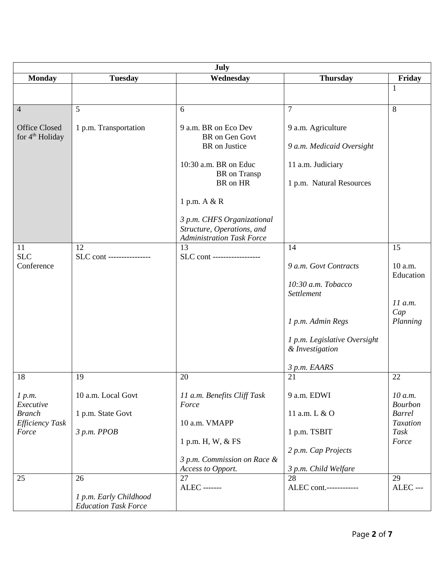| July                                                                                |                                                                    |                                                                                                                                                                                                                              |                                                                                                                                                         |                                                                                            |  |
|-------------------------------------------------------------------------------------|--------------------------------------------------------------------|------------------------------------------------------------------------------------------------------------------------------------------------------------------------------------------------------------------------------|---------------------------------------------------------------------------------------------------------------------------------------------------------|--------------------------------------------------------------------------------------------|--|
| <b>Monday</b>                                                                       | <b>Tuesday</b>                                                     | Wednesday                                                                                                                                                                                                                    | <b>Thursday</b>                                                                                                                                         | Friday                                                                                     |  |
|                                                                                     |                                                                    |                                                                                                                                                                                                                              |                                                                                                                                                         | 1                                                                                          |  |
| $\overline{4}$                                                                      | 5                                                                  | 6                                                                                                                                                                                                                            | $\overline{7}$                                                                                                                                          | 8                                                                                          |  |
| <b>Office Closed</b><br>for 4 <sup>th</sup> Holiday                                 | 1 p.m. Transportation                                              | 9 a.m. BR on Eco Dev<br>BR on Gen Govt<br>BR on Justice<br>10:30 a.m. BR on Educ<br>BR on Transp<br>BR on HR<br>1 p.m. A & R<br>3 p.m. CHFS Organizational<br>Structure, Operations, and<br><b>Administration Task Force</b> | 9 a.m. Agriculture<br>9 a.m. Medicaid Oversight<br>11 a.m. Judiciary<br>1 p.m. Natural Resources                                                        |                                                                                            |  |
| 11<br><b>SLC</b><br>Conference                                                      | 12<br>SLC cont ----------------                                    | 13<br>SLC cont ------------------                                                                                                                                                                                            | 14<br>9 a.m. Govt Contracts<br>10:30 a.m. Tobacco<br>Settlement<br>1 p.m. Admin Regs<br>1 p.m. Legislative Oversight<br>& Investigation<br>3 p.m. EAARS | 15<br>10 a.m.<br>Education<br>11 a.m.<br>Cap<br>Planning                                   |  |
| 18<br>1 p.m.<br>Executive<br><b>Branch</b><br><b>Efficiency Task</b><br>Force<br>25 | 19<br>10 a.m. Local Govt<br>1 p.m. State Govt<br>3 p.m. PPOB<br>26 | 20<br>11 a.m. Benefits Cliff Task<br>Force<br>10 a.m. VMAPP<br>1 p.m. H, W, & FS<br>3 p.m. Commission on Race &<br>Access to Opport.<br>27                                                                                   | 21<br>9 a.m. EDWI<br>11 a.m. L & O<br>1 p.m. TSBIT<br>2 p.m. Cap Projects<br>3 p.m. Child Welfare<br>28                                                 | 22<br>10 a.m.<br><b>Bourbon</b><br><b>Barrel</b><br><b>Taxation</b><br>Task<br>Force<br>29 |  |
|                                                                                     | 1 p.m. Early Childhood<br><b>Education Task Force</b>              | <b>ALEC</b> -------                                                                                                                                                                                                          | ALEC cont.------------                                                                                                                                  | $ALEC$ ---                                                                                 |  |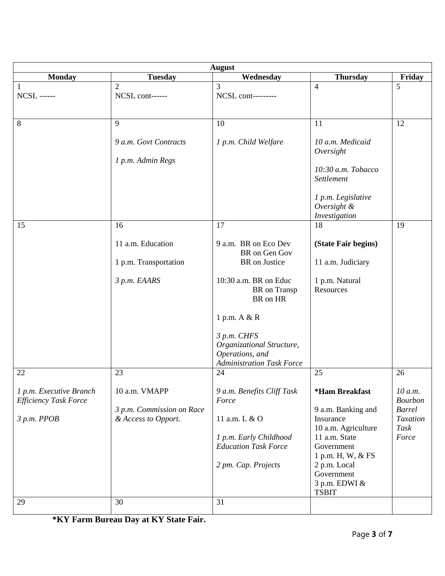| <b>August</b>                                           |                                            |                                                                                                 |                                                             |                                            |  |
|---------------------------------------------------------|--------------------------------------------|-------------------------------------------------------------------------------------------------|-------------------------------------------------------------|--------------------------------------------|--|
| <b>Monday</b>                                           | <b>Tuesday</b>                             | Wednesday                                                                                       | <b>Thursday</b>                                             | Friday                                     |  |
| 1<br><b>NCSL ------</b>                                 | $\overline{2}$<br>NCSL cont------          | $\overline{3}$<br>NCSL cont---------                                                            | $\overline{4}$                                              | 5                                          |  |
| $8\phantom{.}$                                          | 9                                          | 10                                                                                              | 11                                                          | 12                                         |  |
|                                                         | 9 a.m. Govt Contracts                      | 1 p.m. Child Welfare                                                                            | 10 a.m. Medicaid<br>Oversight                               |                                            |  |
|                                                         | 1 p.m. Admin Regs                          |                                                                                                 | 10:30 a.m. Tobacco<br>Settlement                            |                                            |  |
|                                                         |                                            |                                                                                                 | 1 p.m. Legislative<br>Oversight &<br>Investigation          |                                            |  |
| 15                                                      | 16                                         | 17                                                                                              | 18                                                          | 19                                         |  |
|                                                         | 11 a.m. Education                          | 9 a.m. BR on Eco Dev<br>BR on Gen Gov                                                           | (State Fair begins)                                         |                                            |  |
|                                                         | 1 p.m. Transportation                      | BR on Justice                                                                                   | 11 a.m. Judiciary                                           |                                            |  |
|                                                         | 3 p.m. EAARS                               | 10:30 a.m. BR on Educ<br>BR on Transp<br>BR on HR                                               | 1 p.m. Natural<br>Resources                                 |                                            |  |
|                                                         |                                            | 1 p.m. A & R                                                                                    |                                                             |                                            |  |
|                                                         |                                            | 3 p.m. CHFS<br>Organizational Structure,<br>Operations, and<br><b>Administration Task Force</b> |                                                             |                                            |  |
| 22                                                      | 23                                         | 24                                                                                              | 25                                                          | 26                                         |  |
| 1 p.m. Executive Branch<br><b>Efficiency Task Force</b> | 10 a.m. VMAPP<br>3 p.m. Commission on Race | 9 a.m. Benefits Cliff Task<br>Force                                                             | *Ham Breakfast<br>9 a.m. Banking and                        | 10 a.m.<br><b>Bourbon</b><br><b>Barrel</b> |  |
| 3 p.m. PPOB                                             | & Access to Opport.                        | 11 a.m. L & O<br>1 p.m. Early Childhood                                                         | Insurance<br>10 a.m. Agriculture<br>11 a.m. State           | Taxation<br>Task<br>Force                  |  |
|                                                         |                                            | <b>Education Task Force</b>                                                                     | Government<br>1 p.m. H, W, & FS                             |                                            |  |
|                                                         |                                            | 2 pm. Cap. Projects                                                                             | 2 p.m. Local<br>Government<br>3 p.m. EDWI &<br><b>TSBIT</b> |                                            |  |
| 29                                                      | 30                                         | 31                                                                                              |                                                             |                                            |  |

**\*KY Farm Bureau Day at KY State Fair.**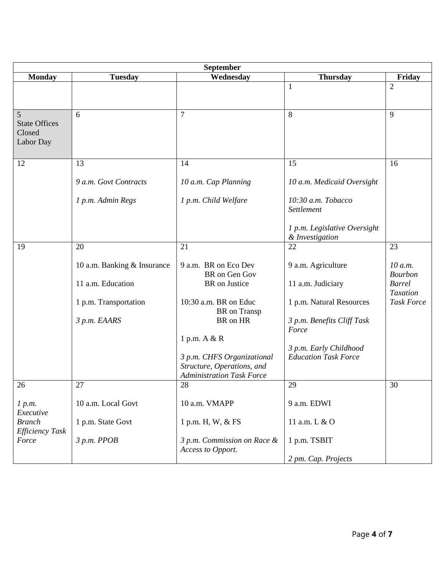| September                                        |                             |                                                                                              |                                                       |                                  |  |
|--------------------------------------------------|-----------------------------|----------------------------------------------------------------------------------------------|-------------------------------------------------------|----------------------------------|--|
| <b>Monday</b>                                    | <b>Tuesday</b>              | Wednesday                                                                                    | <b>Thursday</b>                                       | Friday                           |  |
|                                                  |                             |                                                                                              | $\mathbf{1}$                                          | $\overline{2}$                   |  |
|                                                  |                             |                                                                                              |                                                       |                                  |  |
| 5<br><b>State Offices</b><br>Closed<br>Labor Day | 6                           | $\tau$                                                                                       | 8                                                     | 9                                |  |
| 12                                               | 13                          | 14                                                                                           | 15                                                    | 16                               |  |
|                                                  | 9 a.m. Govt Contracts       | 10 a.m. Cap Planning                                                                         | 10 a.m. Medicaid Oversight                            |                                  |  |
|                                                  | 1 p.m. Admin Regs           | 1 p.m. Child Welfare                                                                         | 10:30 a.m. Tobacco<br>Settlement                      |                                  |  |
|                                                  |                             |                                                                                              | 1 p.m. Legislative Oversight<br>& Investigation       |                                  |  |
| 19                                               | 20                          | 21                                                                                           | 22                                                    | 23                               |  |
|                                                  | 10 a.m. Banking & Insurance | 9 a.m. BR on Eco Dev<br>BR on Gen Gov                                                        | 9 a.m. Agriculture                                    | 10 a.m.<br><b>Bourbon</b>        |  |
|                                                  | 11 a.m. Education           | BR on Justice                                                                                | 11 a.m. Judiciary                                     | <b>Barrel</b><br><b>Taxation</b> |  |
|                                                  | 1 p.m. Transportation       | 10:30 a.m. BR on Educ<br>BR on Transp                                                        | 1 p.m. Natural Resources                              | <b>Task Force</b>                |  |
|                                                  | 3 p.m. EAARS                | BR on HR                                                                                     | 3 p.m. Benefits Cliff Task<br>Force                   |                                  |  |
|                                                  |                             | 1 p.m. A & R                                                                                 |                                                       |                                  |  |
|                                                  |                             | 3 p.m. CHFS Organizational<br>Structure, Operations, and<br><b>Administration Task Force</b> | 3 p.m. Early Childhood<br><b>Education Task Force</b> |                                  |  |
| 26                                               | 27                          | 28                                                                                           | 29                                                    | 30                               |  |
| 1 p.m.<br>Executive                              | 10 a.m. Local Govt          | 10 a.m. VMAPP                                                                                | 9 a.m. EDWI                                           |                                  |  |
| <b>Branch</b><br>Efficiency Task                 | 1 p.m. State Govt           | 1 p.m. H, W, & FS                                                                            | 11 a.m. L & O                                         |                                  |  |
| Force                                            | 3 p.m. PPOB                 | 3 p.m. Commission on Race &<br>Access to Opport.                                             | 1 p.m. TSBIT                                          |                                  |  |
|                                                  |                             |                                                                                              | 2 pm. Cap. Projects                                   |                                  |  |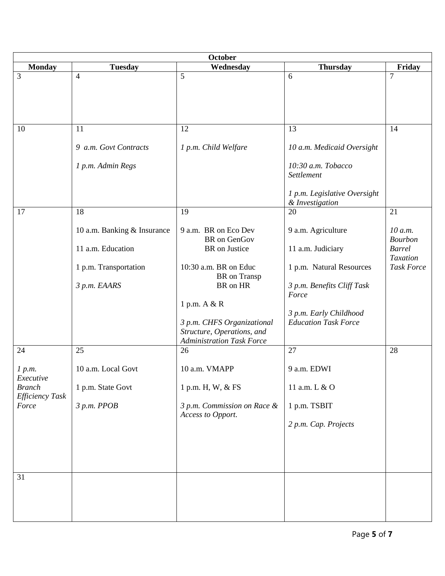| October                                                          |                                                                                           |                                                                                                                                                                                                                                          |                                                                                                                                                                     |                                                                                    |  |
|------------------------------------------------------------------|-------------------------------------------------------------------------------------------|------------------------------------------------------------------------------------------------------------------------------------------------------------------------------------------------------------------------------------------|---------------------------------------------------------------------------------------------------------------------------------------------------------------------|------------------------------------------------------------------------------------|--|
| <b>Monday</b>                                                    | <b>Tuesday</b>                                                                            | Wednesday                                                                                                                                                                                                                                | <b>Thursday</b>                                                                                                                                                     | Friday                                                                             |  |
| 3                                                                | $\overline{4}$                                                                            | $\overline{5}$                                                                                                                                                                                                                           | 6                                                                                                                                                                   | $\overline{7}$                                                                     |  |
| 10                                                               | 11                                                                                        | 12                                                                                                                                                                                                                                       | 13                                                                                                                                                                  | 14                                                                                 |  |
|                                                                  | 9 a.m. Govt Contracts<br>1 p.m. Admin Regs                                                | 1 p.m. Child Welfare                                                                                                                                                                                                                     | 10 a.m. Medicaid Oversight<br>10:30 a.m. Tobacco<br>Settlement<br>1 p.m. Legislative Oversight<br>& Investigation                                                   |                                                                                    |  |
| 17                                                               | 18                                                                                        | 19                                                                                                                                                                                                                                       | 20                                                                                                                                                                  | 21                                                                                 |  |
|                                                                  | 10 a.m. Banking & Insurance<br>11 a.m. Education<br>1 p.m. Transportation<br>3 p.m. EAARS | 9 a.m. BR on Eco Dev<br><b>BR</b> on GenGov<br>BR on Justice<br>10:30 a.m. BR on Educ<br><b>BR</b> on Transp<br>BR on HR<br>1 p.m. A & R<br>3 p.m. CHFS Organizational<br>Structure, Operations, and<br><b>Administration Task Force</b> | 9 a.m. Agriculture<br>11 a.m. Judiciary<br>1 p.m. Natural Resources<br>3 p.m. Benefits Cliff Task<br>Force<br>3 p.m. Early Childhood<br><b>Education Task Force</b> | 10 a.m.<br><b>Bourbon</b><br><b>Barrel</b><br><b>Taxation</b><br><b>Task Force</b> |  |
| 24                                                               | 25                                                                                        | 26                                                                                                                                                                                                                                       | 27                                                                                                                                                                  | 28                                                                                 |  |
| 1 p.m.<br>Executive<br><b>Branch</b><br>Efficiency Task<br>Force | 10 a.m. Local Govt<br>1 p.m. State Govt<br>3 p.m. PPOB                                    | 10 a.m. VMAPP<br>1 p.m. H, W, & FS<br>3 p.m. Commission on Race &<br>Access to Opport.                                                                                                                                                   | 9 a.m. EDWI<br>11 a.m. L & O<br>1 p.m. TSBIT<br>2 p.m. Cap. Projects                                                                                                |                                                                                    |  |
| 31                                                               |                                                                                           |                                                                                                                                                                                                                                          |                                                                                                                                                                     |                                                                                    |  |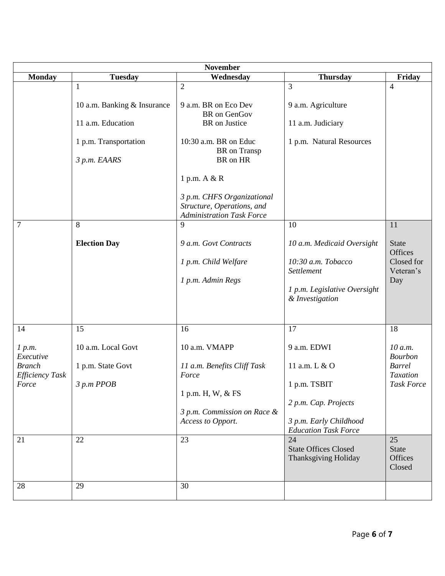| <b>November</b>                                                        |                                                                                                |                                                                                                                                                                                   |                                                                                                                                     |                                                                                          |  |
|------------------------------------------------------------------------|------------------------------------------------------------------------------------------------|-----------------------------------------------------------------------------------------------------------------------------------------------------------------------------------|-------------------------------------------------------------------------------------------------------------------------------------|------------------------------------------------------------------------------------------|--|
| <b>Monday</b>                                                          | <b>Tuesday</b>                                                                                 | Wednesday                                                                                                                                                                         | <b>Thursday</b>                                                                                                                     | Friday                                                                                   |  |
|                                                                        | 1<br>10 a.m. Banking & Insurance<br>11 a.m. Education<br>1 p.m. Transportation<br>3 p.m. EAARS | $\overline{2}$<br>9 a.m. BR on Eco Dev<br><b>BR</b> on GenGov<br>BR on Justice<br>10:30 a.m. BR on Educ<br>BR on Transp<br>BR on HR<br>1 p.m. A & R<br>3 p.m. CHFS Organizational | 3<br>9 a.m. Agriculture<br>11 a.m. Judiciary<br>1 p.m. Natural Resources                                                            | $\overline{4}$                                                                           |  |
|                                                                        |                                                                                                | Structure, Operations, and<br><b>Administration Task Force</b>                                                                                                                    |                                                                                                                                     |                                                                                          |  |
| 7                                                                      | 8                                                                                              | 9                                                                                                                                                                                 | 10                                                                                                                                  | 11                                                                                       |  |
|                                                                        | <b>Election Day</b>                                                                            | 9 a.m. Govt Contracts<br>1 p.m. Child Welfare<br>1 p.m. Admin Regs                                                                                                                | 10 a.m. Medicaid Oversight<br>10:30 a.m. Tobacco<br>Settlement<br>1 p.m. Legislative Oversight<br>& Investigation                   | <b>State</b><br>Offices<br>Closed for<br>Veteran's<br>Day                                |  |
| 14                                                                     | 15                                                                                             | 16                                                                                                                                                                                | 17                                                                                                                                  | 18                                                                                       |  |
| 1 p.m.<br>Executive<br><b>Branch</b><br>Efficiency Task<br>Force<br>21 | 10 a.m. Local Govt<br>1 p.m. State Govt<br>$3 p.m$ $PPOB$<br>22                                | 10 a.m. VMAPP<br>11 a.m. Benefits Cliff Task<br>Force<br>1 p.m. H, W, & FS<br>3 p.m. Commission on Race &<br>Access to Opport.<br>23                                              | 9 a.m. EDWI<br>11 a.m. L & O<br>1 p.m. TSBIT<br>2 p.m. Cap. Projects<br>3 p.m. Early Childhood<br><b>Education Task Force</b><br>24 | 10 a.m.<br><b>Bourbon</b><br><b>Barrel</b><br><b>Taxation</b><br><b>Task Force</b><br>25 |  |
|                                                                        |                                                                                                |                                                                                                                                                                                   | <b>State Offices Closed</b><br>Thanksgiving Holiday                                                                                 | <b>State</b><br>Offices<br>Closed                                                        |  |
| 28                                                                     | 29                                                                                             | 30                                                                                                                                                                                |                                                                                                                                     |                                                                                          |  |